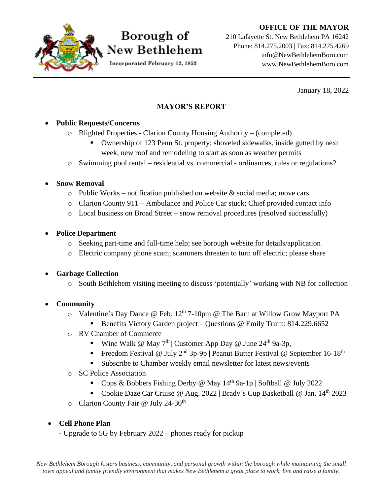#### **OFFICE OF THE MAYOR**



## Borough of New Bethlehem

Incorporated February 12, 1853

210 Lafayette St. New Bethlehem PA 16242 Phone: 814.275.2003 | Fax: 814.275.4269 info@NewBethlehemBoro.com www.NewBethlehemBoro.com

January 18, 2022

#### **MAYOR'S REPORT**

#### • **Public Requests/Concerns**

- o Blighted Properties Clarion County Housing Authority (completed)
	- Ownership of 123 Penn St. property; shoveled sidewalks, inside gutted by next week, new roof and remodeling to start as soon as weather permits
- o Swimming pool rental residential vs. commercial ordinances, rules or regulations?

#### • **Snow Removal**

- $\circ$  Public Works notification published on website & social media; move cars
- o Clarion County 911 Ambulance and Police Car stuck; Chief provided contact info
- o Local business on Broad Street snow removal procedures (resolved successfully)

#### • **Police Department**

- o Seeking part-time and full-time help; see borough website for details/application
- o Electric company phone scam; scammers threaten to turn off electric; please share

#### • **Garbage Collection**

o South Bethlehem visiting meeting to discuss 'potentially' working with NB for collection

#### • **Community**

- $\circ$  Valentine's Day Dance @ Feb. 12<sup>th</sup> 7-10pm @ The Barn at Willow Grow Mayport PA
	- Benefits Victory Garden project Questions @ Emily Truitt: 814.229.6652
- o RV Chamber of Commerce
	- Wine Walk @ May 7<sup>th</sup> | Customer App Day @ June 24<sup>th</sup> 9a-3p,
	- **•** Freedom Festival @ July  $2^{nd}$  3p-9p | Peanut Butter Festival @ September 16-18<sup>th</sup>
	- **Example 1** Subscribe to Chamber weekly email newsletter for latest news/events
- o SC Police Association
	- Cops & Bobbers Fishing Derby @ May  $14<sup>th</sup>$  9a-1p | Softball @ July 2022
	- Cookie Daze Car Cruise @ Aug. 2022 | Brady's Cup Basketball @ Jan.  $14<sup>th</sup>$  2023
- o Clarion County Fair @ July 24-30<sup>th</sup>

#### • **Cell Phone Plan**

**-** Upgrade to 5G by February 2022 – phones ready for pickup